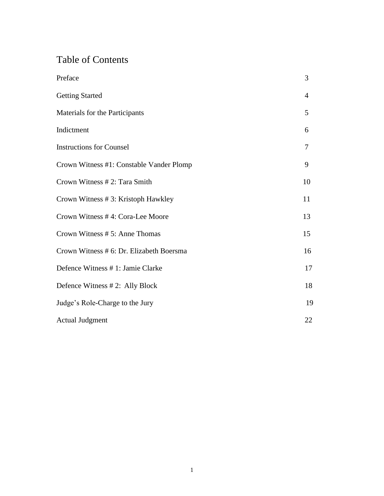# Table of Contents

| Preface                                  | 3              |
|------------------------------------------|----------------|
| <b>Getting Started</b>                   | $\overline{4}$ |
| Materials for the Participants           | 5              |
| Indictment                               | 6              |
| <b>Instructions for Counsel</b>          | 7              |
| Crown Witness #1: Constable Vander Plomp | 9              |
| Crown Witness # 2: Tara Smith            | 10             |
| Crown Witness #3: Kristoph Hawkley       | 11             |
| Crown Witness #4: Cora-Lee Moore         | 13             |
| Crown Witness # 5: Anne Thomas           | 15             |
| Crown Witness # 6: Dr. Elizabeth Boersma | 16             |
| Defence Witness # 1: Jamie Clarke        | 17             |
| Defence Witness #2: Ally Block           | 18             |
| Judge's Role-Charge to the Jury          | 19             |
| <b>Actual Judgment</b>                   | 22             |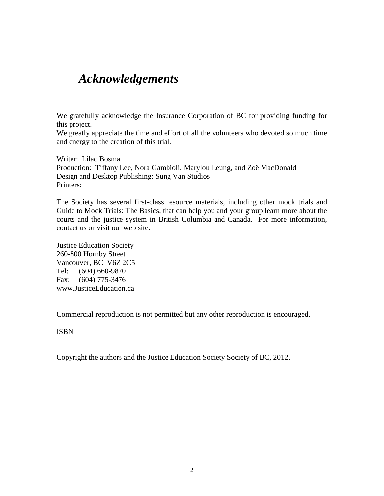# *Acknowledgements*

We gratefully acknowledge the Insurance Corporation of BC for providing funding for this project.

We greatly appreciate the time and effort of all the volunteers who devoted so much time and energy to the creation of this trial.

Writer: Lilac Bosma Production: Tiffany Lee, Nora Gambioli, Marylou Leung, and Zoë MacDonald Design and Desktop Publishing: Sung Van Studios Printers:

The Society has several first-class resource materials, including other mock trials and Guide to Mock Trials: The Basics, that can help you and your group learn more about the courts and the justice system in British Columbia and Canada. For more information, contact us or visit our web site:

Justice Education Society 260-800 Hornby Street Vancouver, BC V6Z 2C5 Tel: (604) 660-9870 Fax: (604) 775-3476 www.JusticeEducation.ca

Commercial reproduction is not permitted but any other reproduction is encouraged.

ISBN

Copyright the authors and the Justice Education Society Society of BC, 2012.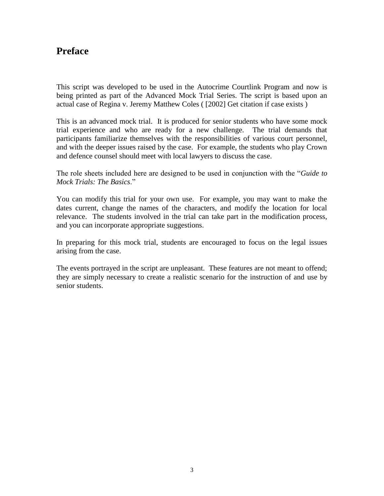# **Preface**

This script was developed to be used in the Autocrime Courtlink Program and now is being printed as part of the Advanced Mock Trial Series. The script is based upon an actual case of Regina v. Jeremy Matthew Coles ( [2002] Get citation if case exists )

This is an advanced mock trial. It is produced for senior students who have some mock trial experience and who are ready for a new challenge. The trial demands that participants familiarize themselves with the responsibilities of various court personnel, and with the deeper issues raised by the case. For example, the students who play Crown and defence counsel should meet with local lawyers to discuss the case.

The role sheets included here are designed to be used in conjunction with the "*Guide to Mock Trials: The Basics*."

You can modify this trial for your own use. For example, you may want to make the dates current, change the names of the characters, and modify the location for local relevance. The students involved in the trial can take part in the modification process, and you can incorporate appropriate suggestions.

In preparing for this mock trial, students are encouraged to focus on the legal issues arising from the case.

The events portrayed in the script are unpleasant. These features are not meant to offend; they are simply necessary to create a realistic scenario for the instruction of and use by senior students.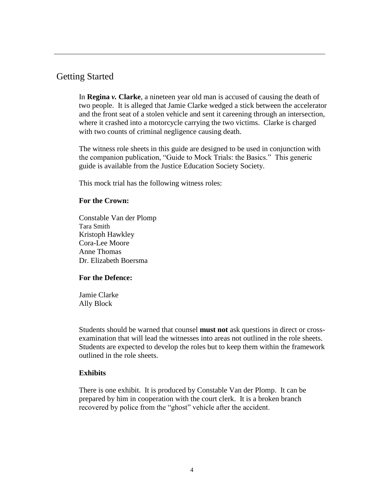### Getting Started

In **Regina** *v.* **Clarke**, a nineteen year old man is accused of causing the death of two people. It is alleged that Jamie Clarke wedged a stick between the accelerator and the front seat of a stolen vehicle and sent it careening through an intersection, where it crashed into a motorcycle carrying the two victims. Clarke is charged with two counts of criminal negligence causing death.

The witness role sheets in this guide are designed to be used in conjunction with the companion publication, "Guide to Mock Trials: the Basics." This generic guide is available from the Justice Education Society Society.

This mock trial has the following witness roles:

#### **For the Crown:**

Constable Van der Plomp Tara Smith Kristoph Hawkley Cora-Lee Moore Anne Thomas Dr. Elizabeth Boersma

#### **For the Defence:**

Jamie Clarke Ally Block

Students should be warned that counsel **must not** ask questions in direct or crossexamination that will lead the witnesses into areas not outlined in the role sheets. Students are expected to develop the roles but to keep them within the framework outlined in the role sheets.

#### **Exhibits**

There is one exhibit. It is produced by Constable Van der Plomp. It can be prepared by him in cooperation with the court clerk. It is a broken branch recovered by police from the "ghost" vehicle after the accident.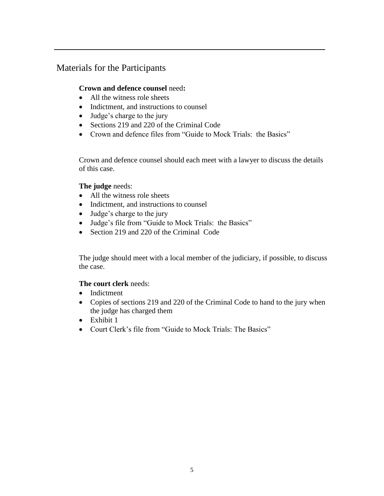# Materials for the Participants

#### **Crown and defence counsel** need**:**

- All the witness role sheets
- Indictment, and instructions to counsel
- Judge's charge to the jury
- Sections 219 and 220 of the Criminal Code
- Crown and defence files from "Guide to Mock Trials: the Basics"

Crown and defence counsel should each meet with a lawyer to discuss the details of this case.

#### **The judge** needs:

- All the witness role sheets
- Indictment, and instructions to counsel
- Judge's charge to the jury
- Judge's file from "Guide to Mock Trials: the Basics"
- Section 219 and 220 of the Criminal Code

The judge should meet with a local member of the judiciary, if possible, to discuss the case.

#### **The court clerk** needs:

- Indictment
- Copies of sections 219 and 220 of the Criminal Code to hand to the jury when the judge has charged them
- Exhibit 1
- Court Clerk's file from "Guide to Mock Trials: The Basics"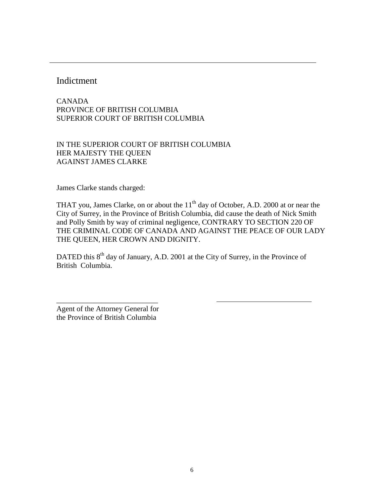### **Indictment**

CANADA PROVINCE OF BRITISH COLUMBIA SUPERIOR COURT OF BRITISH COLUMBIA

IN THE SUPERIOR COURT OF BRITISH COLUMBIA HER MAJESTY THE QUEEN AGAINST JAMES CLARKE

James Clarke stands charged:

THAT you, James Clarke, on or about the  $11<sup>th</sup>$  day of October, A.D. 2000 at or near the City of Surrey, in the Province of British Columbia, did cause the death of Nick Smith and Polly Smith by way of criminal negligence, CONTRARY TO SECTION 220 OF THE CRIMINAL CODE OF CANADA AND AGAINST THE PEACE OF OUR LADY THE QUEEN, HER CROWN AND DIGNITY.

DATED this 8<sup>th</sup> day of January, A.D. 2001 at the City of Surrey, in the Province of British Columbia.

Agent of the Attorney General for the Province of British Columbia

\_\_\_\_\_\_\_\_\_\_\_\_\_\_\_\_\_\_\_\_\_\_\_\_\_\_\_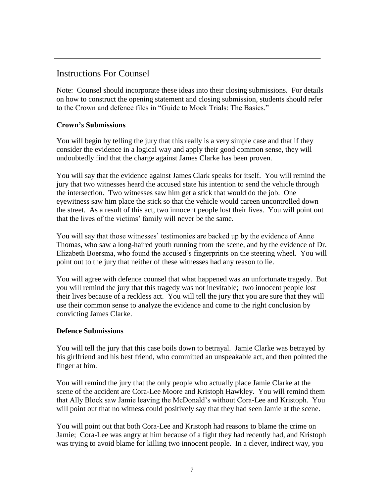# Instructions For Counsel

Note: Counsel should incorporate these ideas into their closing submissions. For details on how to construct the opening statement and closing submission, students should refer to the Crown and defence files in "Guide to Mock Trials: The Basics."

### **Crown's Submissions**

You will begin by telling the jury that this really is a very simple case and that if they consider the evidence in a logical way and apply their good common sense, they will undoubtedly find that the charge against James Clarke has been proven.

You will say that the evidence against James Clark speaks for itself. You will remind the jury that two witnesses heard the accused state his intention to send the vehicle through the intersection. Two witnesses saw him get a stick that would do the job. One eyewitness saw him place the stick so that the vehicle would careen uncontrolled down the street. As a result of this act, two innocent people lost their lives. You will point out that the lives of the victims' family will never be the same.

You will say that those witnesses' testimonies are backed up by the evidence of Anne Thomas, who saw a long-haired youth running from the scene, and by the evidence of Dr. Elizabeth Boersma, who found the accused's fingerprints on the steering wheel. You will point out to the jury that neither of these witnesses had any reason to lie.

You will agree with defence counsel that what happened was an unfortunate tragedy. But you will remind the jury that this tragedy was not inevitable; two innocent people lost their lives because of a reckless act. You will tell the jury that you are sure that they will use their common sense to analyze the evidence and come to the right conclusion by convicting James Clarke.

### **Defence Submissions**

You will tell the jury that this case boils down to betrayal. Jamie Clarke was betrayed by his girlfriend and his best friend, who committed an unspeakable act, and then pointed the finger at him.

You will remind the jury that the only people who actually place Jamie Clarke at the scene of the accident are Cora-Lee Moore and Kristoph Hawkley. You will remind them that Ally Block saw Jamie leaving the McDonald's without Cora-Lee and Kristoph. You will point out that no witness could positively say that they had seen Jamie at the scene.

You will point out that both Cora-Lee and Kristoph had reasons to blame the crime on Jamie; Cora-Lee was angry at him because of a fight they had recently had, and Kristoph was trying to avoid blame for killing two innocent people. In a clever, indirect way, you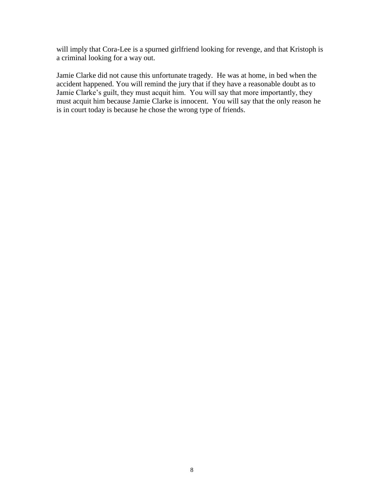will imply that Cora-Lee is a spurned girlfriend looking for revenge, and that Kristoph is a criminal looking for a way out.

Jamie Clarke did not cause this unfortunate tragedy. He was at home, in bed when the accident happened. You will remind the jury that if they have a reasonable doubt as to Jamie Clarke's guilt, they must acquit him. You will say that more importantly, they must acquit him because Jamie Clarke is innocent. You will say that the only reason he is in court today is because he chose the wrong type of friends.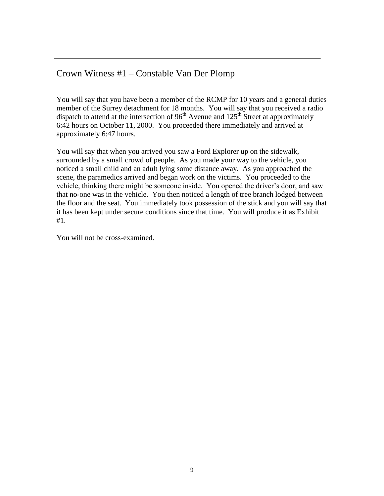# Crown Witness #1 – Constable Van Der Plomp

You will say that you have been a member of the RCMP for 10 years and a general duties member of the Surrey detachment for 18 months. You will say that you received a radio dispatch to attend at the intersection of  $96<sup>th</sup>$  Avenue and  $125<sup>th</sup>$  Street at approximately 6:42 hours on October 11, 2000. You proceeded there immediately and arrived at approximately 6:47 hours.

You will say that when you arrived you saw a Ford Explorer up on the sidewalk, surrounded by a small crowd of people. As you made your way to the vehicle, you noticed a small child and an adult lying some distance away. As you approached the scene, the paramedics arrived and began work on the victims. You proceeded to the vehicle, thinking there might be someone inside. You opened the driver's door, and saw that no-one was in the vehicle. You then noticed a length of tree branch lodged between the floor and the seat. You immediately took possession of the stick and you will say that it has been kept under secure conditions since that time. You will produce it as Exhibit #1.

You will not be cross-examined.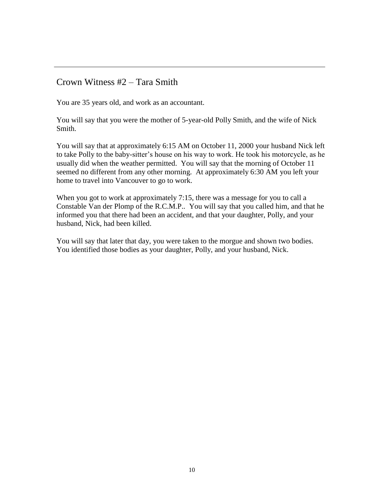### Crown Witness #2 – Tara Smith

You are 35 years old, and work as an accountant.

You will say that you were the mother of 5-year-old Polly Smith, and the wife of Nick Smith.

You will say that at approximately 6:15 AM on October 11, 2000 your husband Nick left to take Polly to the baby-sitter's house on his way to work. He took his motorcycle, as he usually did when the weather permitted. You will say that the morning of October 11 seemed no different from any other morning. At approximately 6:30 AM you left your home to travel into Vancouver to go to work.

When you got to work at approximately 7:15, there was a message for you to call a Constable Van der Plomp of the R.C.M.P.. You will say that you called him, and that he informed you that there had been an accident, and that your daughter, Polly, and your husband, Nick, had been killed.

You will say that later that day, you were taken to the morgue and shown two bodies. You identified those bodies as your daughter, Polly, and your husband, Nick.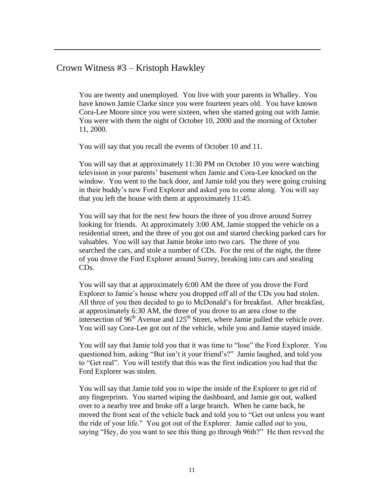### Crown Witness #3 – Kristoph Hawkley

You are twenty and unemployed. You live with your parents in Whalley. You have known Jamie Clarke since you were fourteen years old. You have known Cora-Lee Moore since you were sixteen, when she started going out with Jamie. You were with them the night of October 10, 2000 and the morning of October 11, 2000.

You will say that you recall the events of October 10 and 11.

You will say that at approximately 11:30 PM on October 10 you were watching television in your parents' basement when Jamie and Cora-Lee knocked on the window. You went to the back door, and Jamie told you they were going cruising in their buddy's new Ford Explorer and asked you to come along. You will say that you left the house with them at approximately 11:45.

You will say that for the next few hours the three of you drove around Surrey looking for friends. At approximately 3:00 AM, Jamie stopped the vehicle on a residential street, and the three of you got out and started checking parked cars for valuables. You will say that Jamie broke into two cars. The three of you searched the cars, and stole a number of CDs. For the rest of the night, the three of you drove the Ford Explorer around Surrey, breaking into cars and stealing CDs.

You will say that at approximately 6:00 AM the three of you drove the Ford Explorer to Jamie's house where you dropped off all of the CDs you had stolen. All three of you then decided to go to McDonald's for breakfast. After breakfast, at approximately 6:30 AM, the three of you drove to an area close to the intersection of  $96<sup>th</sup>$  Avenue and  $125<sup>th</sup>$  Street, where Jamie pulled the vehicle over. You will say Cora-Lee got out of the vehicle, while you and Jamie stayed inside.

You will say that Jamie told you that it was time to "lose" the Ford Explorer. You questioned him, asking "But isn't it your friend's?" Jamie laughed, and told you to "Get real". You will testify that this was the first indication you had that the Ford Explorer was stolen.

You will say that Jamie told you to wipe the inside of the Explorer to get rid of any fingerprints. You started wiping the dashboard, and Jamie got out, walked over to a nearby tree and broke off a large branch. When he came back, he moved the front seat of the vehicle back and told you to "Get out unless you want the ride of your life." You got out of the Explorer. Jamie called out to you, saying "Hey, do you want to see this thing go through 96th?" He then revved the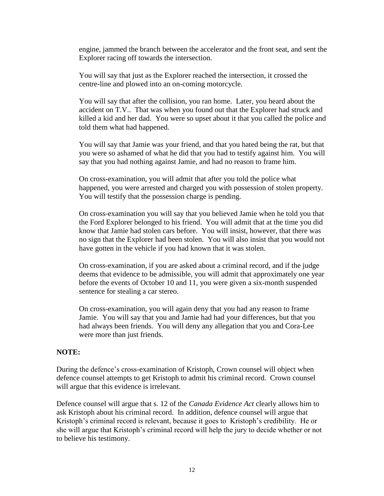engine, jammed the branch between the accelerator and the front seat, and sent the Explorer racing off towards the intersection.

You will say that just as the Explorer reached the intersection, it crossed the centre-line and plowed into an on-coming motorcycle.

You will say that after the collision, you ran home. Later, you heard about the accident on T.V.. That was when you found out that the Explorer had struck and killed a kid and her dad. You were so upset about it that you called the police and told them what had happened.

You will say that Jamie was your friend, and that you hated being the rat, but that you were so ashamed of what he did that you had to testify against him. You will say that you had nothing against Jamie, and had no reason to frame him.

On cross-examination, you will admit that after you told the police what happened, you were arrested and charged you with possession of stolen property. You will testify that the possession charge is pending.

On cross-examination you will say that you believed Jamie when he told you that the Ford Explorer belonged to his friend. You will admit that at the time you did know that Jamie had stolen cars before. You will insist, however, that there was no sign that the Explorer had been stolen. You will also insist that you would not have gotten in the vehicle if you had known that it was stolen.

On cross-examination, if you are asked about a criminal record, and if the judge deems that evidence to be admissible, you will admit that approximately one year before the events of October 10 and 11, you were given a six-month suspended sentence for stealing a car stereo.

On cross-examination, you will again deny that you had any reason to frame Jamie. You will say that you and Jamie had had your differences, but that you had always been friends. You will deny any allegation that you and Cora-Lee were more than just friends.

#### **NOTE:**

During the defence's cross-examination of Kristoph, Crown counsel will object when defence counsel attempts to get Kristoph to admit his criminal record. Crown counsel will argue that this evidence is irrelevant.

Defence counsel will argue that s. 12 of the *Canada Evidence Act* clearly allows him to ask Kristoph about his criminal record. In addition, defence counsel will argue that Kristoph's criminal record is relevant, because it goes to Kristoph's credibility. He or she will argue that Kristoph's criminal record will help the jury to decide whether or not to believe his testimony.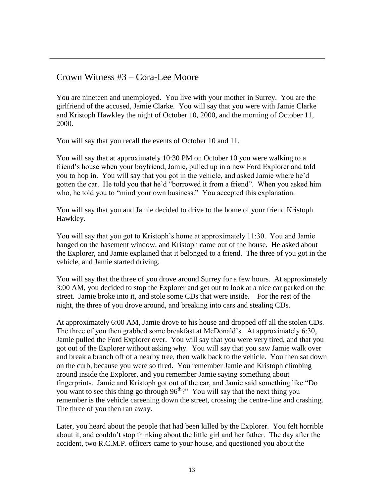### Crown Witness #3 – Cora-Lee Moore

You are nineteen and unemployed. You live with your mother in Surrey. You are the girlfriend of the accused, Jamie Clarke. You will say that you were with Jamie Clarke and Kristoph Hawkley the night of October 10, 2000, and the morning of October 11, 2000.

You will say that you recall the events of October 10 and 11.

You will say that at approximately 10:30 PM on October 10 you were walking to a friend's house when your boyfriend, Jamie, pulled up in a new Ford Explorer and told you to hop in. You will say that you got in the vehicle, and asked Jamie where he'd gotten the car. He told you that he'd "borrowed it from a friend". When you asked him who, he told you to "mind your own business." You accepted this explanation.

You will say that you and Jamie decided to drive to the home of your friend Kristoph Hawkley.

You will say that you got to Kristoph's home at approximately 11:30. You and Jamie banged on the basement window, and Kristoph came out of the house. He asked about the Explorer, and Jamie explained that it belonged to a friend. The three of you got in the vehicle, and Jamie started driving.

You will say that the three of you drove around Surrey for a few hours. At approximately 3:00 AM, you decided to stop the Explorer and get out to look at a nice car parked on the street. Jamie broke into it, and stole some CDs that were inside. For the rest of the night, the three of you drove around, and breaking into cars and stealing CDs.

At approximately 6:00 AM, Jamie drove to his house and dropped off all the stolen CDs. The three of you then grabbed some breakfast at McDonald's. At approximately 6:30, Jamie pulled the Ford Explorer over. You will say that you were very tired, and that you got out of the Explorer without asking why. You will say that you saw Jamie walk over and break a branch off of a nearby tree, then walk back to the vehicle. You then sat down on the curb, because you were so tired. You remember Jamie and Kristoph climbing around inside the Explorer, and you remember Jamie saying something about fingerprints. Jamie and Kristoph got out of the car, and Jamie said something like "Do you want to see this thing go through  $96<sup>th</sup>$ ?" You will say that the next thing you remember is the vehicle careening down the street, crossing the centre-line and crashing. The three of you then ran away.

Later, you heard about the people that had been killed by the Explorer. You felt horrible about it, and couldn't stop thinking about the little girl and her father. The day after the accident, two R.C.M.P. officers came to your house, and questioned you about the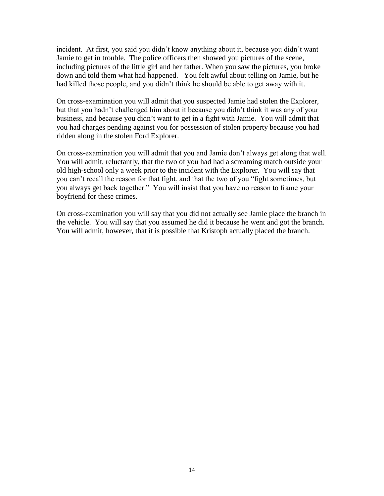incident. At first, you said you didn't know anything about it, because you didn't want Jamie to get in trouble. The police officers then showed you pictures of the scene, including pictures of the little girl and her father. When you saw the pictures, you broke down and told them what had happened. You felt awful about telling on Jamie, but he had killed those people, and you didn't think he should be able to get away with it.

On cross-examination you will admit that you suspected Jamie had stolen the Explorer, but that you hadn't challenged him about it because you didn't think it was any of your business, and because you didn't want to get in a fight with Jamie. You will admit that you had charges pending against you for possession of stolen property because you had ridden along in the stolen Ford Explorer.

On cross-examination you will admit that you and Jamie don't always get along that well. You will admit, reluctantly, that the two of you had had a screaming match outside your old high-school only a week prior to the incident with the Explorer. You will say that you can't recall the reason for that fight, and that the two of you "fight sometimes, but you always get back together." You will insist that you have no reason to frame your boyfriend for these crimes.

On cross-examination you will say that you did not actually see Jamie place the branch in the vehicle. You will say that you assumed he did it because he went and got the branch. You will admit, however, that it is possible that Kristoph actually placed the branch.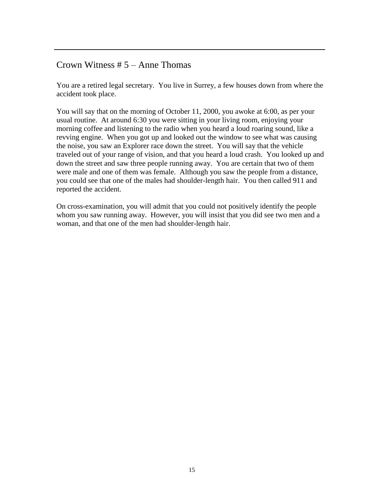### Crown Witness  $# 5 -$  Anne Thomas

You are a retired legal secretary. You live in Surrey, a few houses down from where the accident took place.

You will say that on the morning of October 11, 2000, you awoke at 6:00, as per your usual routine. At around 6:30 you were sitting in your living room, enjoying your morning coffee and listening to the radio when you heard a loud roaring sound, like a revving engine. When you got up and looked out the window to see what was causing the noise, you saw an Explorer race down the street. You will say that the vehicle traveled out of your range of vision, and that you heard a loud crash. You looked up and down the street and saw three people running away. You are certain that two of them were male and one of them was female. Although you saw the people from a distance, you could see that one of the males had shoulder-length hair. You then called 911 and reported the accident.

On cross-examination, you will admit that you could not positively identify the people whom you saw running away. However, you will insist that you did see two men and a woman, and that one of the men had shoulder-length hair.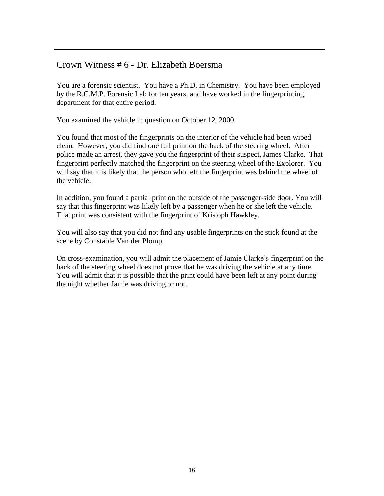### Crown Witness # 6 - Dr. Elizabeth Boersma

You are a forensic scientist. You have a Ph.D. in Chemistry. You have been employed by the R.C.M.P. Forensic Lab for ten years, and have worked in the fingerprinting department for that entire period.

You examined the vehicle in question on October 12, 2000.

You found that most of the fingerprints on the interior of the vehicle had been wiped clean. However, you did find one full print on the back of the steering wheel. After police made an arrest, they gave you the fingerprint of their suspect, James Clarke. That fingerprint perfectly matched the fingerprint on the steering wheel of the Explorer. You will say that it is likely that the person who left the fingerprint was behind the wheel of the vehicle.

In addition, you found a partial print on the outside of the passenger-side door. You will say that this fingerprint was likely left by a passenger when he or she left the vehicle. That print was consistent with the fingerprint of Kristoph Hawkley.

You will also say that you did not find any usable fingerprints on the stick found at the scene by Constable Van der Plomp.

On cross-examination, you will admit the placement of Jamie Clarke's fingerprint on the back of the steering wheel does not prove that he was driving the vehicle at any time. You will admit that it is possible that the print could have been left at any point during the night whether Jamie was driving or not.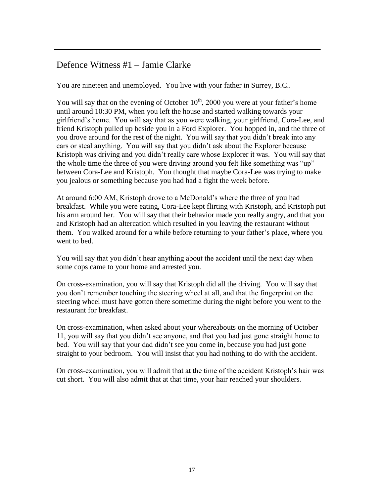# Defence Witness #1 – Jamie Clarke

You are nineteen and unemployed. You live with your father in Surrey, B.C..

You will say that on the evening of October  $10^{th}$ , 2000 you were at your father's home until around 10:30 PM, when you left the house and started walking towards your girlfriend's home. You will say that as you were walking, your girlfriend, Cora-Lee, and friend Kristoph pulled up beside you in a Ford Explorer. You hopped in, and the three of you drove around for the rest of the night. You will say that you didn't break into any cars or steal anything. You will say that you didn't ask about the Explorer because Kristoph was driving and you didn't really care whose Explorer it was. You will say that the whole time the three of you were driving around you felt like something was "up" between Cora-Lee and Kristoph. You thought that maybe Cora-Lee was trying to make you jealous or something because you had had a fight the week before.

At around 6:00 AM, Kristoph drove to a McDonald's where the three of you had breakfast. While you were eating, Cora-Lee kept flirting with Kristoph, and Kristoph put his arm around her. You will say that their behavior made you really angry, and that you and Kristoph had an altercation which resulted in you leaving the restaurant without them. You walked around for a while before returning to your father's place, where you went to bed.

You will say that you didn't hear anything about the accident until the next day when some cops came to your home and arrested you.

On cross-examination, you will say that Kristoph did all the driving. You will say that you don't remember touching the steering wheel at all, and that the fingerprint on the steering wheel must have gotten there sometime during the night before you went to the restaurant for breakfast.

On cross-examination, when asked about your whereabouts on the morning of October 11, you will say that you didn't see anyone, and that you had just gone straight home to bed. You will say that your dad didn't see you come in, because you had just gone straight to your bedroom. You will insist that you had nothing to do with the accident.

On cross-examination, you will admit that at the time of the accident Kristoph's hair was cut short. You will also admit that at that time, your hair reached your shoulders.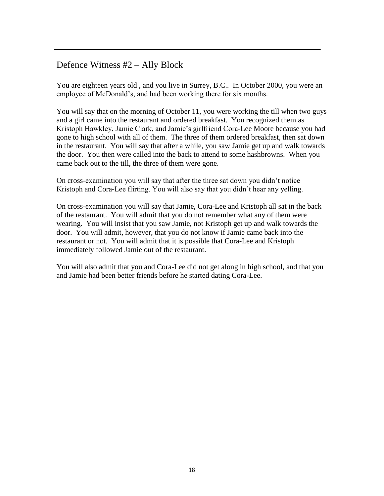## Defence Witness #2 – Ally Block

You are eighteen years old , and you live in Surrey, B.C.. In October 2000, you were an employee of McDonald's, and had been working there for six months.

You will say that on the morning of October 11, you were working the till when two guys and a girl came into the restaurant and ordered breakfast. You recognized them as Kristoph Hawkley, Jamie Clark, and Jamie's girlfriend Cora-Lee Moore because you had gone to high school with all of them. The three of them ordered breakfast, then sat down in the restaurant. You will say that after a while, you saw Jamie get up and walk towards the door. You then were called into the back to attend to some hashbrowns. When you came back out to the till, the three of them were gone.

On cross-examination you will say that after the three sat down you didn't notice Kristoph and Cora-Lee flirting. You will also say that you didn't hear any yelling.

On cross-examination you will say that Jamie, Cora-Lee and Kristoph all sat in the back of the restaurant. You will admit that you do not remember what any of them were wearing. You will insist that you saw Jamie, not Kristoph get up and walk towards the door. You will admit, however, that you do not know if Jamie came back into the restaurant or not. You will admit that it is possible that Cora-Lee and Kristoph immediately followed Jamie out of the restaurant.

You will also admit that you and Cora-Lee did not get along in high school, and that you and Jamie had been better friends before he started dating Cora-Lee.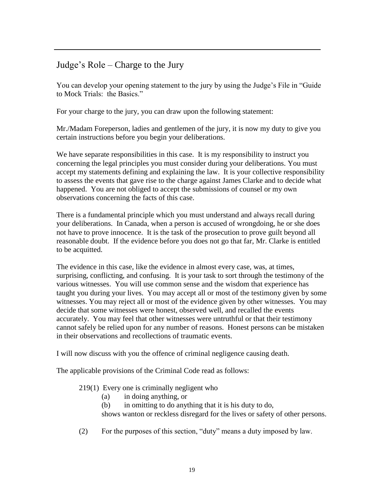# Judge's Role – Charge to the Jury

You can develop your opening statement to the jury by using the Judge's File in "Guide to Mock Trials: the Basics."

For your charge to the jury, you can draw upon the following statement:

Mr./Madam Foreperson, ladies and gentlemen of the jury, it is now my duty to give you certain instructions before you begin your deliberations.

We have separate responsibilities in this case. It is my responsibility to instruct you concerning the legal principles you must consider during your deliberations. You must accept my statements defining and explaining the law. It is your collective responsibility to assess the events that gave rise to the charge against James Clarke and to decide what happened. You are not obliged to accept the submissions of counsel or my own observations concerning the facts of this case.

There is a fundamental principle which you must understand and always recall during your deliberations. In Canada, when a person is accused of wrongdoing, he or she does not have to prove innocence. It is the task of the prosecution to prove guilt beyond all reasonable doubt. If the evidence before you does not go that far, Mr. Clarke is entitled to be acquitted.

The evidence in this case, like the evidence in almost every case, was, at times, surprising, conflicting, and confusing. It is your task to sort through the testimony of the various witnesses. You will use common sense and the wisdom that experience has taught you during your lives. You may accept all or most of the testimony given by some witnesses. You may reject all or most of the evidence given by other witnesses. You may decide that some witnesses were honest, observed well, and recalled the events accurately. You may feel that other witnesses were untruthful or that their testimony cannot safely be relied upon for any number of reasons. Honest persons can be mistaken in their observations and recollections of traumatic events.

I will now discuss with you the offence of criminal negligence causing death.

The applicable provisions of the Criminal Code read as follows:

#### 219(1) Every one is criminally negligent who

- (a) in doing anything, or
- (b) in omitting to do anything that it is his duty to do,

shows wanton or reckless disregard for the lives or safety of other persons.

(2) For the purposes of this section, "duty" means a duty imposed by law.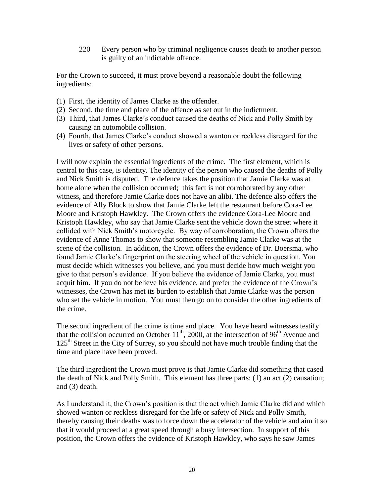220 Every person who by criminal negligence causes death to another person is guilty of an indictable offence.

For the Crown to succeed, it must prove beyond a reasonable doubt the following ingredients:

- (1) First, the identity of James Clarke as the offender.
- (2) Second, the time and place of the offence as set out in the indictment.
- (3) Third, that James Clarke's conduct caused the deaths of Nick and Polly Smith by causing an automobile collision.
- (4) Fourth, that James Clarke's conduct showed a wanton or reckless disregard for the lives or safety of other persons.

I will now explain the essential ingredients of the crime. The first element, which is central to this case, is identity. The identity of the person who caused the deaths of Polly and Nick Smith is disputed. The defence takes the position that Jamie Clarke was at home alone when the collision occurred; this fact is not corroborated by any other witness, and therefore Jamie Clarke does not have an alibi. The defence also offers the evidence of Ally Block to show that Jamie Clarke left the restaurant before Cora-Lee Moore and Kristoph Hawkley. The Crown offers the evidence Cora-Lee Moore and Kristoph Hawkley, who say that Jamie Clarke sent the vehicle down the street where it collided with Nick Smith's motorcycle. By way of corroboration, the Crown offers the evidence of Anne Thomas to show that someone resembling Jamie Clarke was at the scene of the collision. In addition, the Crown offers the evidence of Dr. Boersma, who found Jamie Clarke's fingerprint on the steering wheel of the vehicle in question. You must decide which witnesses you believe, and you must decide how much weight you give to that person's evidence. If you believe the evidence of Jamie Clarke, you must acquit him. If you do not believe his evidence, and prefer the evidence of the Crown's witnesses, the Crown has met its burden to establish that Jamie Clarke was the person who set the vehicle in motion. You must then go on to consider the other ingredients of the crime.

The second ingredient of the crime is time and place. You have heard witnesses testify that the collision occurred on October 11<sup>th</sup>, 2000, at the intersection of 96<sup>th</sup> Avenue and  $125<sup>th</sup>$  Street in the City of Surrey, so you should not have much trouble finding that the time and place have been proved.

The third ingredient the Crown must prove is that Jamie Clarke did something that cased the death of Nick and Polly Smith. This element has three parts: (1) an act (2) causation; and (3) death.

As I understand it, the Crown's position is that the act which Jamie Clarke did and which showed wanton or reckless disregard for the life or safety of Nick and Polly Smith, thereby causing their deaths was to force down the accelerator of the vehicle and aim it so that it would proceed at a great speed through a busy intersection. In support of this position, the Crown offers the evidence of Kristoph Hawkley, who says he saw James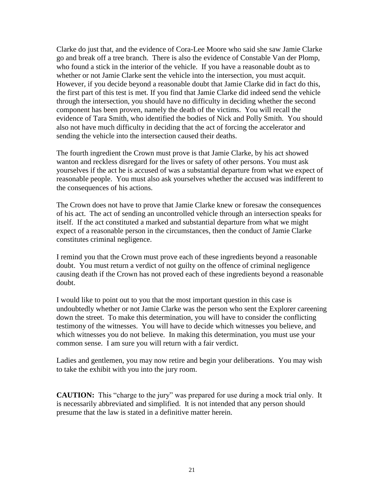Clarke do just that, and the evidence of Cora-Lee Moore who said she saw Jamie Clarke go and break off a tree branch. There is also the evidence of Constable Van der Plomp, who found a stick in the interior of the vehicle. If you have a reasonable doubt as to whether or not Jamie Clarke sent the vehicle into the intersection, you must acquit. However, if you decide beyond a reasonable doubt that Jamie Clarke did in fact do this, the first part of this test is met. If you find that Jamie Clarke did indeed send the vehicle through the intersection, you should have no difficulty in deciding whether the second component has been proven, namely the death of the victims. You will recall the evidence of Tara Smith, who identified the bodies of Nick and Polly Smith. You should also not have much difficulty in deciding that the act of forcing the accelerator and sending the vehicle into the intersection caused their deaths.

The fourth ingredient the Crown must prove is that Jamie Clarke, by his act showed wanton and reckless disregard for the lives or safety of other persons. You must ask yourselves if the act he is accused of was a substantial departure from what we expect of reasonable people. You must also ask yourselves whether the accused was indifferent to the consequences of his actions.

The Crown does not have to prove that Jamie Clarke knew or foresaw the consequences of his act. The act of sending an uncontrolled vehicle through an intersection speaks for itself. If the act constituted a marked and substantial departure from what we might expect of a reasonable person in the circumstances, then the conduct of Jamie Clarke constitutes criminal negligence.

I remind you that the Crown must prove each of these ingredients beyond a reasonable doubt. You must return a verdict of not guilty on the offence of criminal negligence causing death if the Crown has not proved each of these ingredients beyond a reasonable doubt.

I would like to point out to you that the most important question in this case is undoubtedly whether or not Jamie Clarke was the person who sent the Explorer careening down the street. To make this determination, you will have to consider the conflicting testimony of the witnesses. You will have to decide which witnesses you believe, and which witnesses you do not believe. In making this determination, you must use your common sense. I am sure you will return with a fair verdict.

Ladies and gentlemen, you may now retire and begin your deliberations. You may wish to take the exhibit with you into the jury room.

**CAUTION:** This "charge to the jury" was prepared for use during a mock trial only. It is necessarily abbreviated and simplified. It is not intended that any person should presume that the law is stated in a definitive matter herein.